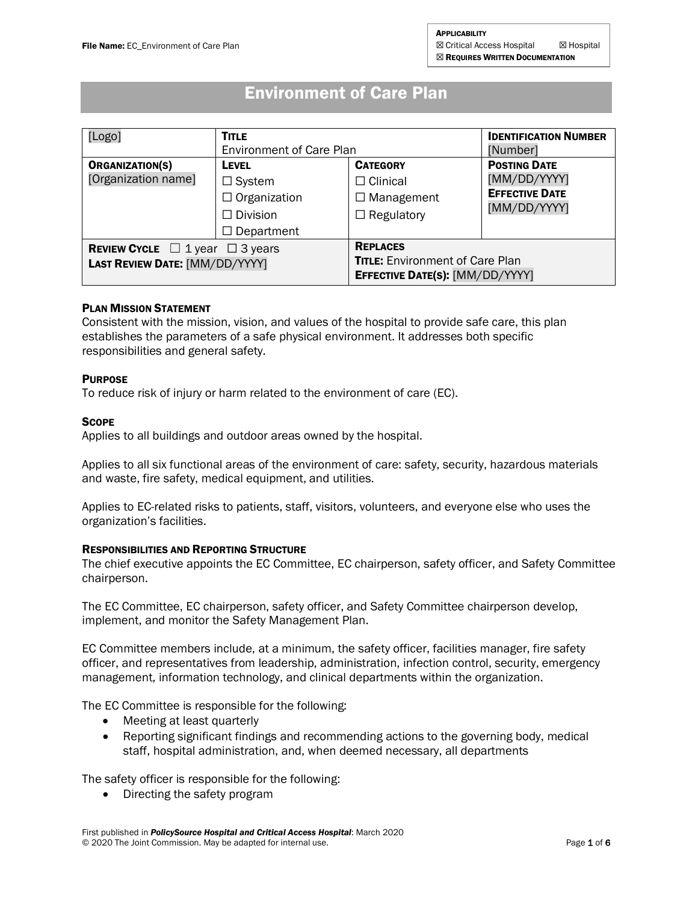# Environment of Care Plan

| [Logo]                                           | <b>TITLE</b>                    |                                                                                  | <b>IDENTIFICATION NUMBER</b> |
|--------------------------------------------------|---------------------------------|----------------------------------------------------------------------------------|------------------------------|
|                                                  | <b>Environment of Care Plan</b> |                                                                                  | [Number]                     |
| <b>ORGANIZATION(S)</b>                           | <b>LEVEL</b>                    | <b>CATEGORY</b>                                                                  | <b>POSTING DATE</b>          |
| [Organization name]                              | $\Box$ System                   | $\Box$ Clinical                                                                  | [MM/DD/YYYY]                 |
|                                                  | $\Box$ Organization             | $\Box$ Management                                                                | <b>EFFECTIVE DATE</b>        |
|                                                  | $\Box$ Division                 | $\Box$ Regulatory                                                                | [MM/DD/YYYY]                 |
|                                                  | $\Box$ Department               |                                                                                  |                              |
| <b>REVIEW CYCLE</b> $\Box$ 1 year $\Box$ 3 years |                                 | <b>REPLACES</b>                                                                  |                              |
| <b>LAST REVIEW DATE: [MM/DD/YYYY]</b>            |                                 | <b>TITLE:</b> Environment of Care Plan<br><b>EFFECTIVE DATE(S): [MM/DD/YYYY]</b> |                              |

### PLAN MISSION STATEMENT

Consistent with the mission, vision, and values of the hospital to provide safe care, this plan establishes the parameters of a safe physical environment. It addresses both specific responsibilities and general safety.

### **PURPOSE**

To reduce risk of injury or harm related to the environment of care (EC).

### **SCOPE**

Applies to all buildings and outdoor areas owned by the hospital.

Applies to all six functional areas of the environment of care: safety, security, hazardous materials and waste, fire safety, medical equipment, and utilities.

Applies to EC-related risks to patients, staff, visitors, volunteers, and everyone else who uses the organization's facilities.

### RESPONSIBILITIES AND REPORTING STRUCTURE

The chief executive appoints the EC Committee, EC chairperson, safety officer, and Safety Committee chairperson.

The EC Committee, EC chairperson, safety officer, and Safety Committee chairperson develop, implement, and monitor the Safety Management Plan.

EC Committee members include, at a minimum, the safety officer, facilities manager, fire safety officer, and representatives from leadership, administration, infection control, security, emergency management, information technology, and clinical departments within the organization.

The EC Committee is responsible for the following:

- Meeting at least quarterly
- Reporting significant findings and recommending actions to the governing body, medical staff, hospital administration, and, when deemed necessary, all departments

The safety officer is responsible for the following:

• Directing the safety program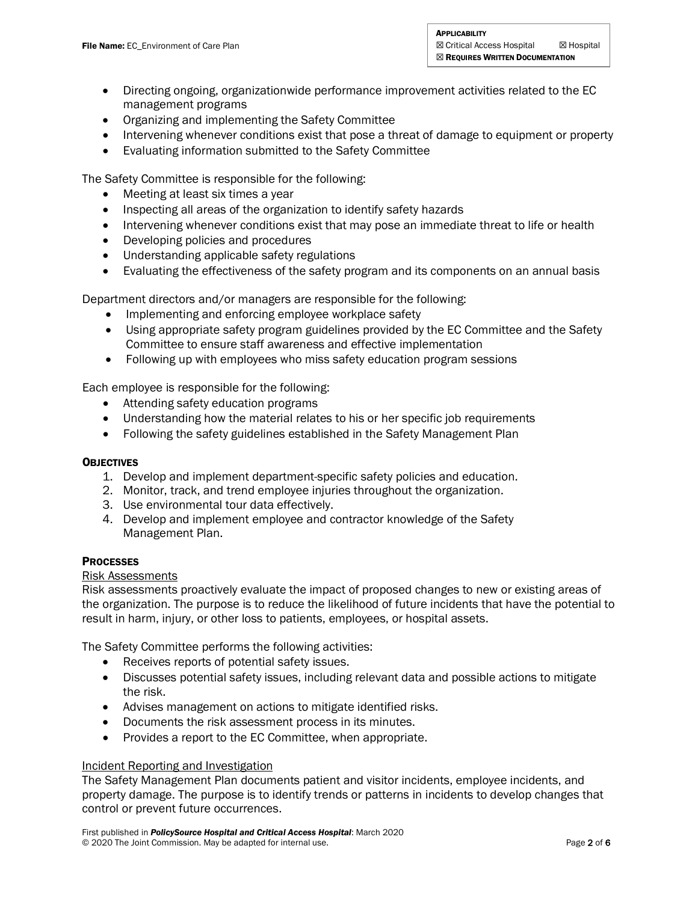- Directing ongoing, organizationwide performance improvement activities related to the EC management programs
- Organizing and implementing the Safety Committee
- Intervening whenever conditions exist that pose a threat of damage to equipment or property
- Evaluating information submitted to the Safety Committee

The Safety Committee is responsible for the following:

- Meeting at least six times a year
- Inspecting all areas of the organization to identify safety hazards
- Intervening whenever conditions exist that may pose an immediate threat to life or health
- Developing policies and procedures
- Understanding applicable safety regulations
- Evaluating the effectiveness of the safety program and its components on an annual basis

Department directors and/or managers are responsible for the following:

- Implementing and enforcing employee workplace safety
- Using appropriate safety program guidelines provided by the EC Committee and the Safety Committee to ensure staff awareness and effective implementation
- Following up with employees who miss safety education program sessions

Each employee is responsible for the following:

- Attending safety education programs
- Understanding how the material relates to his or her specific job requirements
- Following the safety guidelines established in the Safety Management Plan

### **OBJECTIVES**

- 1. Develop and implement department-specific safety policies and education.
- 2. Monitor, track, and trend employee injuries throughout the organization.
- 3. Use environmental tour data effectively.
- 4. Develop and implement employee and contractor knowledge of the Safety Management Plan.

### **PROCESSES**

### Risk Assessments

Risk assessments proactively evaluate the impact of proposed changes to new or existing areas of the organization. The purpose is to reduce the likelihood of future incidents that have the potential to result in harm, injury, or other loss to patients, employees, or hospital assets.

The Safety Committee performs the following activities:

- Receives reports of potential safety issues.
- Discusses potential safety issues, including relevant data and possible actions to mitigate the risk.
- Advises management on actions to mitigate identified risks.
- Documents the risk assessment process in its minutes.
- Provides a report to the EC Committee, when appropriate.

### Incident Reporting and Investigation

The Safety Management Plan documents patient and visitor incidents, employee incidents, and property damage. The purpose is to identify trends or patterns in incidents to develop changes that control or prevent future occurrences.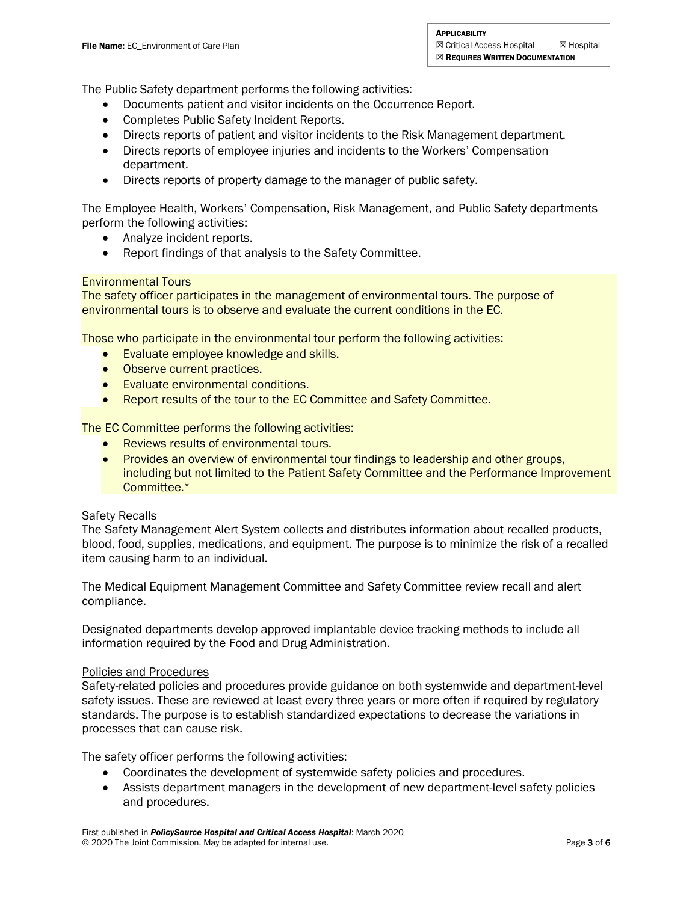The Public Safety department performs the following activities:

- Documents patient and visitor incidents on the Occurrence Report.
- Completes Public Safety Incident Reports.
- Directs reports of patient and visitor incidents to the Risk Management department.
- Directs reports of employee injuries and incidents to the Workers' Compensation department.
- Directs reports of property damage to the manager of public safety.

The Employee Health, Workers' Compensation, Risk Management, and Public Safety departments perform the following activities:

- Analyze incident reports.
- Report findings of that analysis to the Safety Committee.

## Environmental Tours

The safety officer participates in the management of environmental tours. The purpose of environmental tours is to observe and evaluate the current conditions in the EC.

Those who participate in the environmental tour perform the following activities:

- Evaluate employee knowledge and skills.
- Observe current practices.
- Evaluate environmental conditions.
- Report results of the tour to the EC Committee and Safety Committee.

The EC Committee performs the following activities:

- Reviews results of environmental tours.
- Provides an overview of environmental tour findings to leadership and other groups, including but not limited to the Patient Safety Committee and the Performance Improvement Committee.[\\*](#page-5-0)

## Safety Recalls

The Safety Management Alert System collects and distributes information about recalled products, blood, food, supplies, medications, and equipment. The purpose is to minimize the risk of a recalled item causing harm to an individual.

The Medical Equipment Management Committee and Safety Committee review recall and alert compliance.

Designated departments develop approved implantable device tracking methods to include all information required by the Food and Drug Administration.

### Policies and Procedures

Safety-related policies and procedures provide guidance on both systemwide and department-level safety issues. These are reviewed at least every three years or more often if required by regulatory standards. The purpose is to establish standardized expectations to decrease the variations in processes that can cause risk.

The safety officer performs the following activities:

- Coordinates the development of systemwide safety policies and procedures.
- Assists department managers in the development of new department-level safety policies and procedures.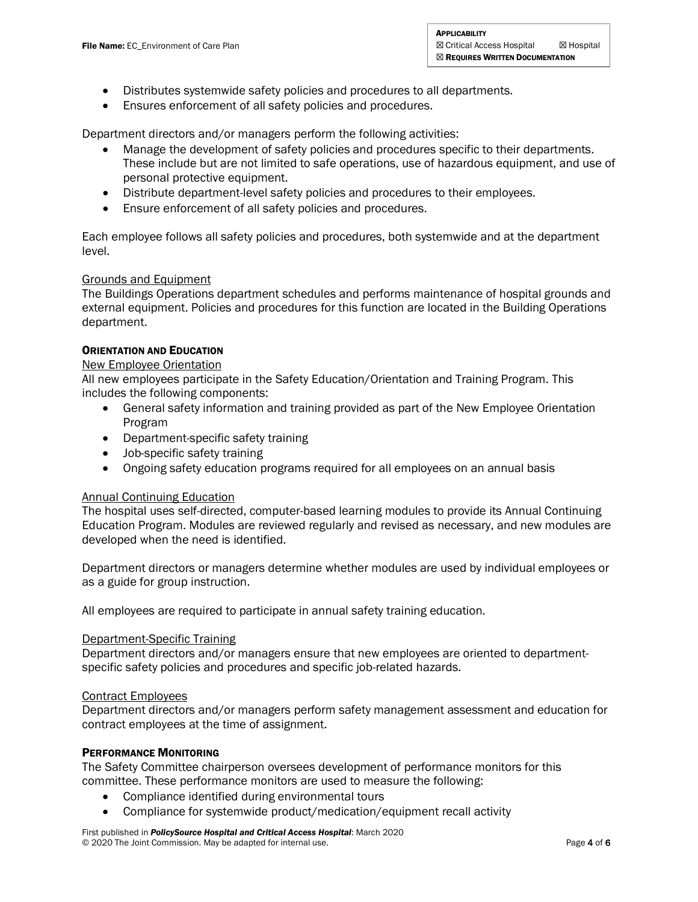- Distributes systemwide safety policies and procedures to all departments.
- Ensures enforcement of all safety policies and procedures.

Department directors and/or managers perform the following activities:

- Manage the development of safety policies and procedures specific to their departments. These include but are not limited to safe operations, use of hazardous equipment, and use of personal protective equipment.
- Distribute department-level safety policies and procedures to their employees.
- Ensure enforcement of all safety policies and procedures.

Each employee follows all safety policies and procedures, both systemwide and at the department level.

### Grounds and Equipment

The Buildings Operations department schedules and performs maintenance of hospital grounds and external equipment. Policies and procedures for this function are located in the Building Operations department.

## ORIENTATION AND EDUCATION

### New Employee Orientation

All new employees participate in the Safety Education/Orientation and Training Program. This includes the following components:

- General safety information and training provided as part of the New Employee Orientation Program
- Department-specific safety training
- Job-specific safety training
- Ongoing safety education programs required for all employees on an annual basis

### Annual Continuing Education

The hospital uses self-directed, computer-based learning modules to provide its Annual Continuing Education Program. Modules are reviewed regularly and revised as necessary, and new modules are developed when the need is identified.

Department directors or managers determine whether modules are used by individual employees or as a guide for group instruction.

All employees are required to participate in annual safety training education.

### Department-Specific Training

Department directors and/or managers ensure that new employees are oriented to departmentspecific safety policies and procedures and specific job-related hazards.

### Contract Employees

Department directors and/or managers perform safety management assessment and education for contract employees at the time of assignment.

## PERFORMANCE MONITORING

The Safety Committee chairperson oversees development of performance monitors for this committee. These performance monitors are used to measure the following:

- Compliance identified during environmental tours
- Compliance for systemwide product/medication/equipment recall activity

First published in *PolicySource Hospital and Critical Access Hospital*: March 2020 © 2020 The Joint Commission. May be adapted for internal use. example and the state of 6 of 6 of 6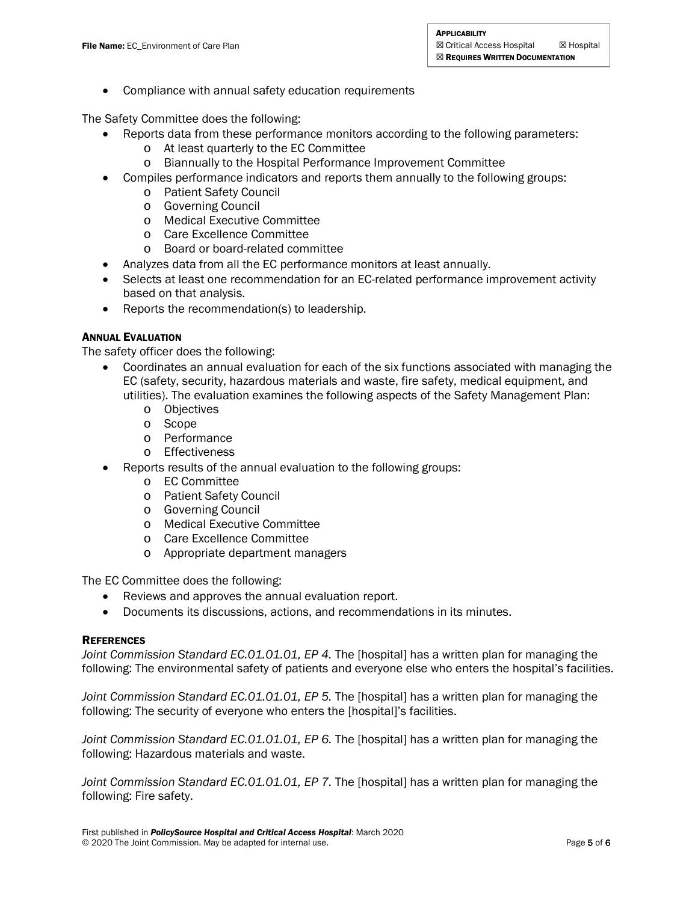• Compliance with annual safety education requirements

The Safety Committee does the following:

- Reports data from these performance monitors according to the following parameters:
	- o At least quarterly to the EC Committee<br>o Biannually to the Hospital Performance
	- Biannually to the Hospital Performance Improvement Committee
- Compiles performance indicators and reports them annually to the following groups:
	- o Patient Safety Council
	- o Governing Council
	- o Medical Executive Committee
	- o Care Excellence Committee
	- o Board or board-related committee
- Analyzes data from all the EC performance monitors at least annually.
- Selects at least one recommendation for an EC-related performance improvement activity based on that analysis.
- Reports the recommendation(s) to leadership.

# ANNUAL EVALUATION

The safety officer does the following:

- Coordinates an annual evaluation for each of the six functions associated with managing the EC (safety, security, hazardous materials and waste, fire safety, medical equipment, and utilities). The evaluation examines the following aspects of the Safety Management Plan:
	- o Objectives
	- o Scope
	- o Performance
	- o Effectiveness
- Reports results of the annual evaluation to the following groups:
	- o EC Committee
	- o Patient Safety Council<br>o Governing Council
	- Governing Council
	- o Medical Executive Committee
	- o Care Excellence Committee
	- o Appropriate department managers

The EC Committee does the following:

- Reviews and approves the annual evaluation report.
- Documents its discussions, actions, and recommendations in its minutes.

# **REFERENCES**

*Joint Commission Standard EC.01.01.01, EP 4.* The [hospital] has a written plan for managing the following: The environmental safety of patients and everyone else who enters the hospital's facilities.

*Joint Commission Standard EC.01.01.01, EP 5.* The [hospital] has a written plan for managing the following: The security of everyone who enters the [hospital]'s facilities.

*Joint Commission Standard EC.01.01.01, EP 6.* The [hospital] has a written plan for managing the following: Hazardous materials and waste.

*Joint Commission Standard EC.01.01.01, EP 7.* The [hospital] has a written plan for managing the following: Fire safety.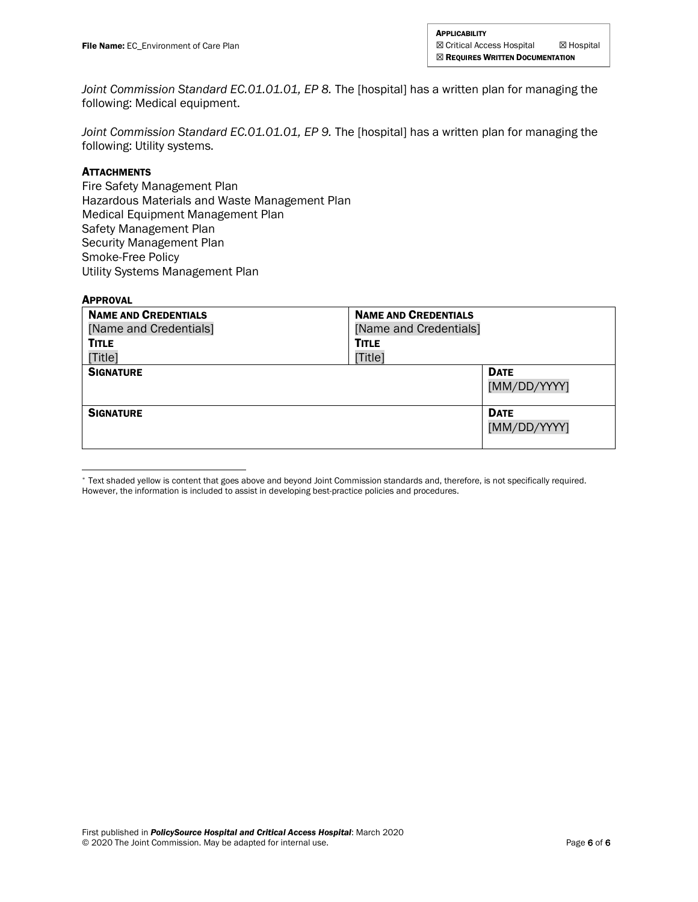*Joint Commission Standard EC.01.01.01, EP 8.* The [hospital] has a written plan for managing the following: Medical equipment.

*Joint Commission Standard EC.01.01.01, EP 9.* The [hospital] has a written plan for managing the following: Utility systems.

### **ATTACHMENTS**

Fire Safety Management Plan Hazardous Materials and Waste Management Plan Medical Equipment Management Plan Safety Management Plan Security Management Plan Smoke-Free Policy Utility Systems Management Plan

#### APPROVAL

| <b>NAME AND CREDENTIALS</b> | <b>NAME AND CREDENTIALS</b> |                             |
|-----------------------------|-----------------------------|-----------------------------|
| [Name and Credentials]      | [Name and Credentials]      |                             |
| <b>TITLE</b>                | <b>TITLE</b>                |                             |
| [Title]                     | [Title]                     |                             |
| <b>SIGNATURE</b>            |                             | <b>DATE</b><br>[MM/DD/YYYY] |
| <b>SIGNATURE</b>            |                             | <b>DATE</b><br>[MM/DD/YYYY] |

<span id="page-5-0"></span><sup>\*</sup> Text shaded yellow is content that goes above and beyond Joint Commission standards and, therefore, is not specifically required. However, the information is included to assist in developing best-practice policies and procedures.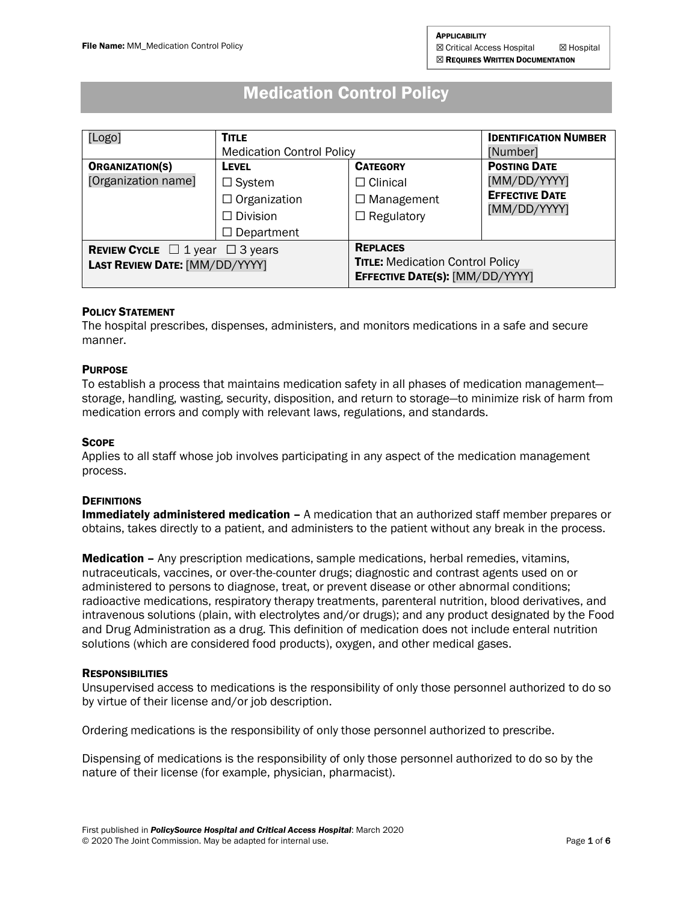# Medication Control Policy

| [Logo]                                           | <b>TITLE</b>                     |                                         | <b>IDENTIFICATION NUMBER</b> |
|--------------------------------------------------|----------------------------------|-----------------------------------------|------------------------------|
|                                                  | <b>Medication Control Policy</b> |                                         | [Number]                     |
| <b>ORGANIZATION(S)</b>                           | <b>LEVEL</b>                     | <b>CATEGORY</b>                         | <b>POSTING DATE</b>          |
| [Organization name]                              | $\Box$ System                    | $\square$ Clinical                      | [MM/DD/YYYY]                 |
|                                                  | $\Box$ Organization              | $\Box$ Management                       | <b>EFFECTIVE DATE</b>        |
|                                                  | $\Box$ Division                  | $\Box$ Regulatory                       | [MM/DD/YYYY]                 |
|                                                  | $\Box$ Department                |                                         |                              |
| <b>REVIEW CYCLE</b> $\Box$ 1 year $\Box$ 3 years |                                  | <b>REPLACES</b>                         |                              |
| LAST REVIEW DATE: [MM/DD/YYYY]                   |                                  | <b>TITLE: Medication Control Policy</b> |                              |
|                                                  |                                  | EFFECTIVE DATE(S): [MM/DD/YYYY]         |                              |

## POLICY STATEMENT

The hospital prescribes, dispenses, administers, and monitors medications in a safe and secure manner.

### **PURPOSE**

To establish a process that maintains medication safety in all phases of medication management storage, handling, wasting, security, disposition, and return to storage—to minimize risk of harm from medication errors and comply with relevant laws, regulations, and standards.

## **SCOPE**

Applies to all staff whose job involves participating in any aspect of the medication management process.

### **DEFINITIONS**

Immediately administered medication – A medication that an authorized staff member prepares or obtains, takes directly to a patient, and administers to the patient without any break in the process.

**Medication –** Any prescription medications, sample medications, herbal remedies, vitamins, nutraceuticals, vaccines, or over-the-counter drugs; diagnostic and contrast agents used on or administered to persons to diagnose, treat, or prevent disease or other abnormal conditions; radioactive medications, respiratory therapy treatments, parenteral nutrition, blood derivatives, and intravenous solutions (plain, with electrolytes and/or drugs); and any product designated by the Food and Drug Administration as a drug. This definition of medication does not include enteral nutrition solutions (which are considered food products), oxygen, and other medical gases.

### **RESPONSIBILITIES**

Unsupervised access to medications is the responsibility of only those personnel authorized to do so by virtue of their license and/or job description.

Ordering medications is the responsibility of only those personnel authorized to prescribe.

Dispensing of medications is the responsibility of only those personnel authorized to do so by the nature of their license (for example, physician, pharmacist).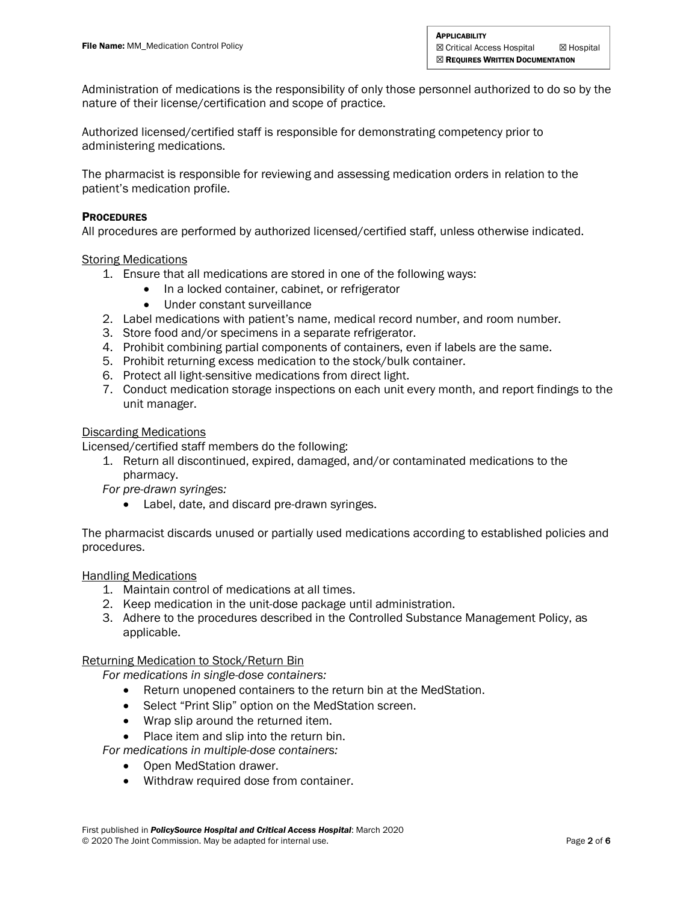Administration of medications is the responsibility of only those personnel authorized to do so by the nature of their license/certification and scope of practice.

Authorized licensed/certified staff is responsible for demonstrating competency prior to administering medications.

The pharmacist is responsible for reviewing and assessing medication orders in relation to the patient's medication profile.

### **PROCEDURES**

All procedures are performed by authorized licensed/certified staff, unless otherwise indicated.

## Storing Medications

- 1. Ensure that all medications are stored in one of the following ways:
	- In a locked container, cabinet, or refrigerator
	- Under constant surveillance
- 2. Label medications with patient's name, medical record number, and room number.
- 3. Store food and/or specimens in a separate refrigerator.
- 4. Prohibit combining partial components of containers, even if labels are the same.
- 5. Prohibit returning excess medication to the stock/bulk container.
- 6. Protect all light-sensitive medications from direct light.
- 7. Conduct medication storage inspections on each unit every month, and report findings to the unit manager.

### Discarding Medications

Licensed/certified staff members do the following:

1. Return all discontinued, expired, damaged, and/or contaminated medications to the pharmacy.

*For pre-drawn syringes:*

• Label, date, and discard pre-drawn syringes.

The pharmacist discards unused or partially used medications according to established policies and procedures.

### Handling Medications

- 1. Maintain control of medications at all times.
- 2. Keep medication in the unit-dose package until administration.
- 3. Adhere to the procedures described in the Controlled Substance Management Policy, as applicable.

### Returning Medication to Stock/Return Bin

*For medications in single-dose containers:* 

- Return unopened containers to the return bin at the MedStation.
- Select "Print Slip" option on the MedStation screen.
- Wrap slip around the returned item.
- Place item and slip into the return bin.
- *For medications in multiple-dose containers:* 
	- Open MedStation drawer.
	- Withdraw required dose from container.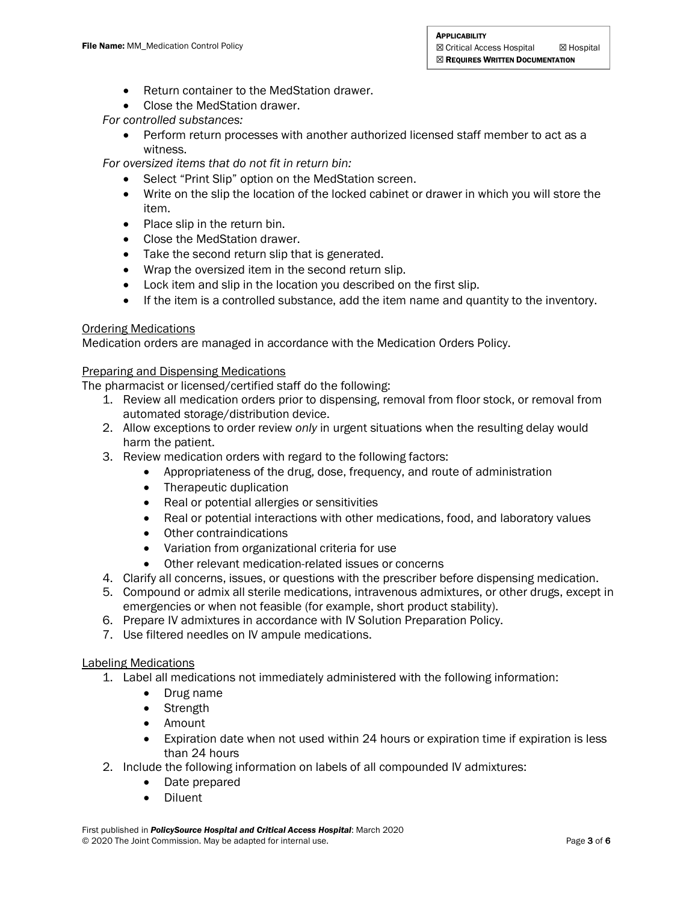- Return container to the MedStation drawer.
- Close the MedStation drawer.

*For controlled substances:*

• Perform return processes with another authorized licensed staff member to act as a witness.

*For oversized items that do not fit in return bin:*

- Select "Print Slip" option on the MedStation screen.
- Write on the slip the location of the locked cabinet or drawer in which you will store the item.
- Place slip in the return bin.
- Close the MedStation drawer.
- Take the second return slip that is generated.
- Wrap the oversized item in the second return slip.
- Lock item and slip in the location you described on the first slip.
- If the item is a controlled substance, add the item name and quantity to the inventory.

## Ordering Medications

Medication orders are managed in accordance with the Medication Orders Policy.

### Preparing and Dispensing Medications

The pharmacist or licensed/certified staff do the following:

- 1. Review all medication orders prior to dispensing, removal from floor stock, or removal from automated storage/distribution device.
- 2. Allow exceptions to order review *only* in urgent situations when the resulting delay would harm the patient.
- 3. Review medication orders with regard to the following factors:
	- Appropriateness of the drug, dose, frequency, and route of administration
	- Therapeutic duplication
	- Real or potential allergies or sensitivities
	- Real or potential interactions with other medications, food, and laboratory values
	- Other contraindications
	- Variation from organizational criteria for use
	- Other relevant medication-related issues or concerns
- 4. Clarify all concerns, issues, or questions with the prescriber before dispensing medication.
- 5. Compound or admix all sterile medications, intravenous admixtures, or other drugs, except in emergencies or when not feasible (for example, short product stability).
- 6. Prepare IV admixtures in accordance with IV Solution Preparation Policy.
- 7. Use filtered needles on IV ampule medications.

# Labeling Medications

- 1. Label all medications not immediately administered with the following information:
	- Drug name
	- Strength
	- Amount
	- Expiration date when not used within 24 hours or expiration time if expiration is less than 24 hours
- 2. Include the following information on labels of all compounded IV admixtures:
	- Date prepared
	- Diluent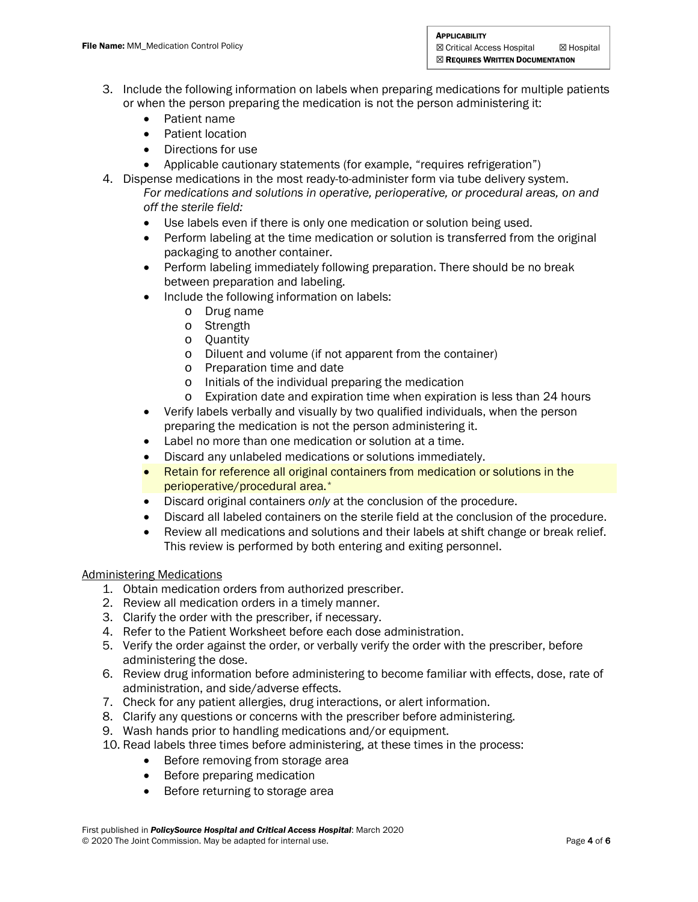- 3. Include the following information on labels when preparing medications for multiple patients or when the person preparing the medication is not the person administering it:
	- Patient name
	- Patient location
	- Directions for use
	- Applicable cautionary statements (for example, "requires refrigeration")
- 4. Dispense medications in the most ready-to-administer form via tube delivery system. *For medications and solutions in operative, perioperative, or procedural areas, on and off the sterile field:*
	- Use labels even if there is only one medication or solution being used.
	- Perform labeling at the time medication or solution is transferred from the original packaging to another container.
	- Perform labeling immediately following preparation. There should be no break between preparation and labeling.
	- Include the following information on labels:
		- o Drug name
			- o Strength
			- o Quantity
			- o Diluent and volume (if not apparent from the container)
			- o Preparation time and date
			- o Initials of the individual preparing the medication
			- o Expiration date and expiration time when expiration is less than 24 hours
	- Verify labels verbally and visually by two qualified individuals, when the person preparing the medication is not the person administering it.
	- Label no more than one medication or solution at a time.
	- Discard any unlabeled medications or solutions immediately.
	- Retain for reference all original containers from medication or solutions in the perioperative/procedural area.[\\*](#page-11-0)
	- Discard original containers *only* at the conclusion of the procedure.
	- Discard all labeled containers on the sterile field at the conclusion of the procedure.
	- Review all medications and solutions and their labels at shift change or break relief. This review is performed by both entering and exiting personnel.

### Administering Medications

- 1. Obtain medication orders from authorized prescriber.
- 2. Review all medication orders in a timely manner.
- 3. Clarify the order with the prescriber, if necessary.
- 4. Refer to the Patient Worksheet before each dose administration.
- 5. Verify the order against the order, or verbally verify the order with the prescriber, before administering the dose.
- 6. Review drug information before administering to become familiar with effects, dose, rate of administration, and side/adverse effects.
- 7. Check for any patient allergies, drug interactions, or alert information.
- 8. Clarify any questions or concerns with the prescriber before administering.
- 9. Wash hands prior to handling medications and/or equipment.
- 10. Read labels three times before administering, at these times in the process:
	- Before removing from storage area
	- Before preparing medication
	- Before returning to storage area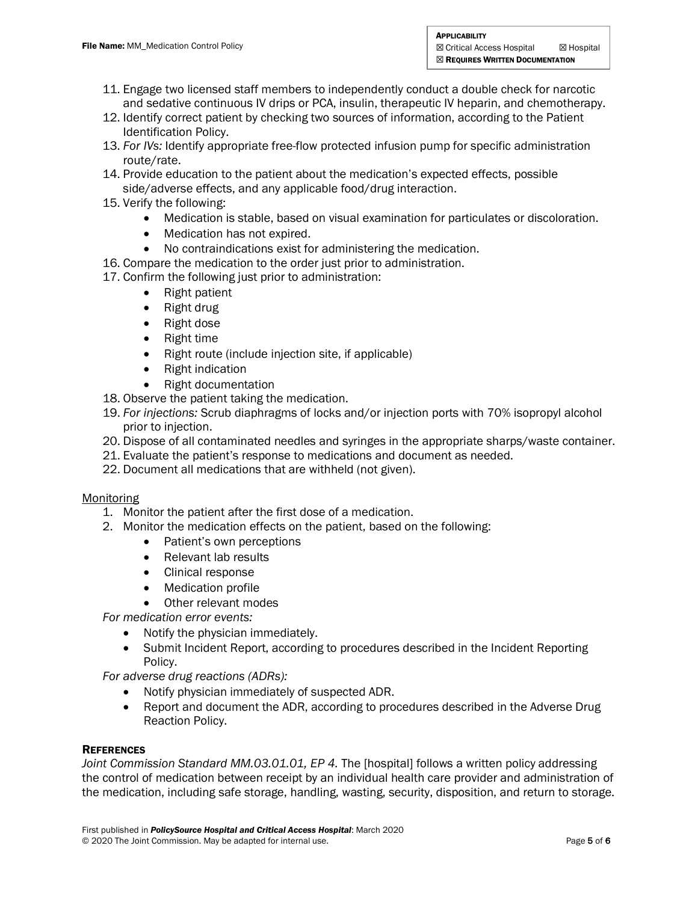- 11. Engage two licensed staff members to independently conduct a double check for narcotic and sedative continuous IV drips or PCA, insulin, therapeutic IV heparin, and chemotherapy.
- 12. Identify correct patient by checking two sources of information, according to the Patient Identification Policy.
- 13. *For IVs:* Identify appropriate free-flow protected infusion pump for specific administration route/rate.
- 14. Provide education to the patient about the medication's expected effects, possible side/adverse effects, and any applicable food/drug interaction.
- 15. Verify the following:
	- Medication is stable, based on visual examination for particulates or discoloration.
	- Medication has not expired.
	- No contraindications exist for administering the medication.
- 16. Compare the medication to the order just prior to administration.
- 17. Confirm the following just prior to administration:
	- Right patient
	- Right drug
	- Right dose
	- Right time
	- Right route (include injection site, if applicable)
	- Right indication
	- Right documentation
- 18. Observe the patient taking the medication.
- 19. *For injections:* Scrub diaphragms of locks and/or injection ports with 70% isopropyl alcohol prior to injection.
- 20. Dispose of all contaminated needles and syringes in the appropriate sharps/waste container.
- 21. Evaluate the patient's response to medications and document as needed.
- 22. Document all medications that are withheld (not given).

# Monitoring

- 1. Monitor the patient after the first dose of a medication.
- 2. Monitor the medication effects on the patient, based on the following:
	- Patient's own perceptions
	- Relevant lab results
	- Clinical response
	- Medication profile
	- Other relevant modes

*For medication error events:*

- Notify the physician immediately.
- Submit Incident Report, according to procedures described in the Incident Reporting Policy.

*For adverse drug reactions (ADRs):*

- Notify physician immediately of suspected ADR.
- Report and document the ADR, according to procedures described in the Adverse Drug Reaction Policy.

# **REFERENCES**

*Joint Commission Standard MM.03.01.01, EP 4.* The [hospital] follows a written policy addressing the control of medication between receipt by an individual health care provider and administration of the medication, including safe storage, handling, wasting, security, disposition, and return to storage.